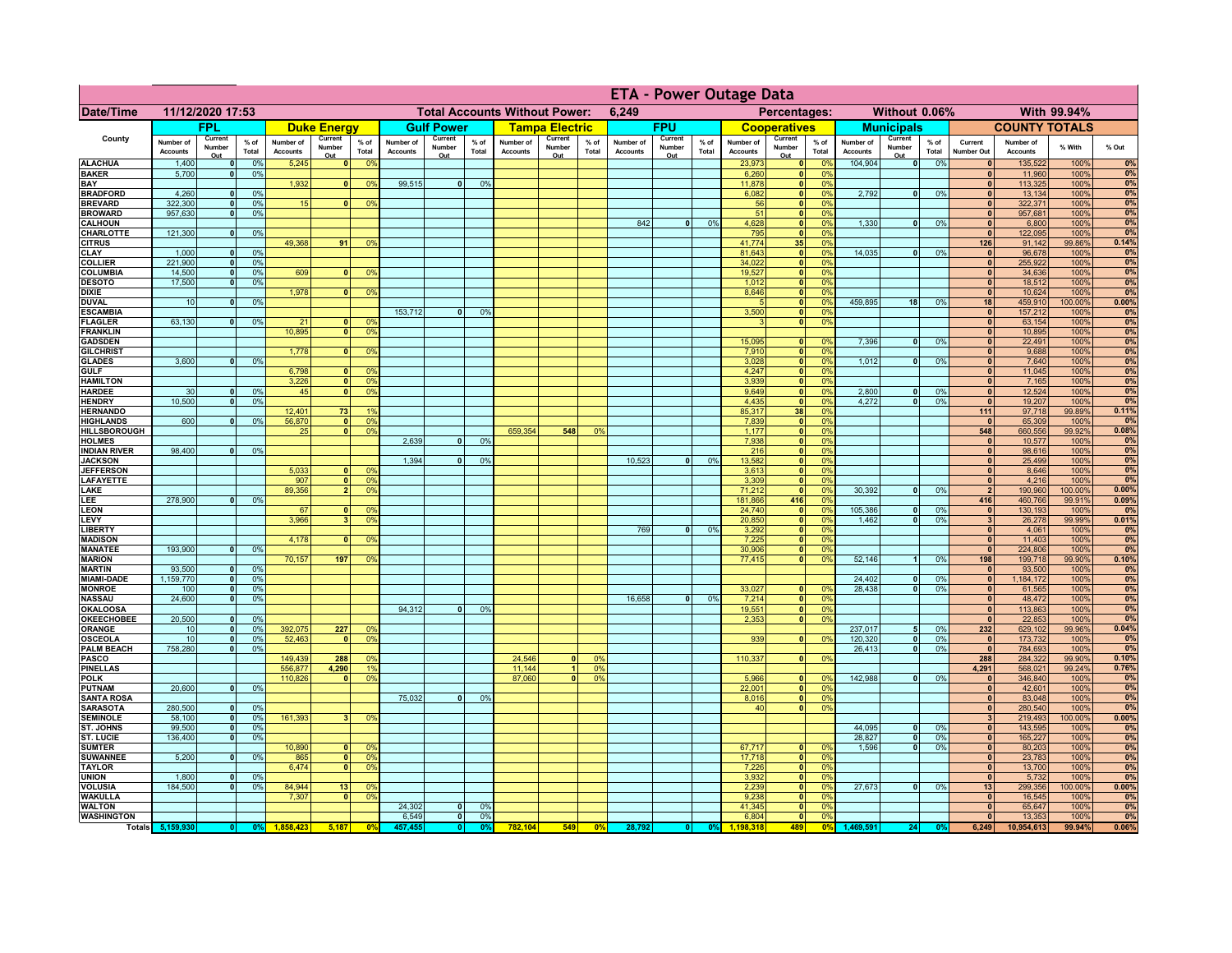|                                      |                              |                              |                 |                              |                                |                                  |                              | <b>ETA - Power Outage Data</b> |                 |                                      |                          |                |                              |                          |               |                              |                               |                       |                              |                          |                 |                              |                              |                 |             |
|--------------------------------------|------------------------------|------------------------------|-----------------|------------------------------|--------------------------------|----------------------------------|------------------------------|--------------------------------|-----------------|--------------------------------------|--------------------------|----------------|------------------------------|--------------------------|---------------|------------------------------|-------------------------------|-----------------------|------------------------------|--------------------------|-----------------|------------------------------|------------------------------|-----------------|-------------|
| Date/Time                            |                              | 11/12/2020 17:53             |                 |                              |                                |                                  |                              |                                |                 | <b>Total Accounts Without Power:</b> |                          |                | 6,249                        |                          |               |                              | Percentages:                  |                       |                              | Without 0.06%            |                 |                              |                              | With 99.94%     |             |
|                                      |                              | FPL                          |                 |                              | <b>Duke Energy</b>             |                                  |                              | <b>Gulf Power</b>              |                 |                                      | <b>Tampa Electric</b>    |                |                              | <b>FPU</b>               |               |                              | <b>Cooperatives</b>           |                       |                              | <b>Municipals</b>        |                 |                              | <b>COUNTY TOTALS</b>         |                 |             |
| County                               | Number of<br><b>Accounts</b> | Current<br>Number<br>Out     | $%$ of<br>Total | Number of<br><b>Accounts</b> | Current<br>Number<br>Out       | $%$ of<br>Total                  | Number of<br><b>Accounts</b> | Current<br>Number<br>Out       | $%$ of<br>Total | Number of<br><b>Accounts</b>         | Current<br>Number<br>Out | % of<br>Total  | Number of<br><b>Accounts</b> | Current<br>Number<br>Out | % of<br>Total | Number of<br><b>Accounts</b> | Current<br>Number<br>Out      | $%$ of<br>Total       | Number of<br><b>Accounts</b> | Current<br>Number<br>Out | $%$ of<br>Total | Current<br><b>Number Out</b> | Number of<br><b>Accounts</b> | % With          | % Out       |
| <b>ALACHUA</b>                       | 1,400                        | $\mathbf{0}$                 | 0%              | 5,245                        | 0                              | 0 <sup>9</sup>                   |                              |                                |                 |                                      |                          |                |                              |                          |               | 23,973                       | 0                             | 0%                    | 104,904                      | $\overline{\bullet}$     | 0%              | 0                            | 135,522                      | 100%            | 0%          |
| <b>BAKER</b><br>BAY                  | 5,700                        | 0                            | 0%              | 1,932                        | $\mathbf{0}$                   | 0 <sup>9</sup>                   | 99,515                       | $\overline{0}$                 | 0%              |                                      |                          |                |                              |                          |               | 6,260<br>11,878              | 0 <br> 0                      | 0 <sup>9</sup><br>0%  |                              |                          |                 | $\mathbf{0}$<br>$\mathbf{0}$ | 11,960<br>113,325            | 100%<br>100%    | 0%<br>0%    |
| <b>BRADFORD</b>                      | 4,260                        | $\mathbf{0}$                 | 0%              |                              |                                |                                  |                              |                                |                 |                                      |                          |                |                              |                          |               | 6,082                        | $\mathbf{0}$                  | 0%                    | 2,792                        | 0                        | 0%              | $\mathbf{0}$                 | 13,134                       | 100%            | 0%          |
| <b>BREVARD</b>                       | 322,300                      | 0                            | 0%              | 15                           | 0                              | 0%                               |                              |                                |                 |                                      |                          |                |                              |                          |               | 56                           | 0                             | 0%                    |                              |                          |                 | 0                            | 322,371                      | 100%            | 0%          |
| <b>BROWARD</b><br><b>CALHOUN</b>     | 957,630                      | $\mathbf{0}$                 | 0%              |                              |                                |                                  |                              |                                |                 |                                      |                          |                | 842                          | $\mathbf{0}$             | 0%            | 51<br>4,628                  | 0 <br> 0                      | 0%<br>0%              | 1,330                        | -ol                      | 0%              | $\mathbf{0}$<br>$\mathbf{0}$ | 957,681<br>6,800             | 100%<br>100%    | 0%<br>0%    |
| CHARLOTTE                            | 121,300                      | 0                            | 0%              |                              |                                |                                  |                              |                                |                 |                                      |                          |                |                              |                          |               | 795                          | 0                             | 0%                    |                              |                          |                 | 0                            | 122,095                      | 100%            | 0%          |
| <b>CITRUS</b><br><b>CLAY</b>         | 1,000                        |                              | 0%              | 49,368                       | 91                             | 0 <sup>9</sup>                   |                              |                                |                 |                                      |                          |                |                              |                          |               | 41,774<br>81,643             | 35<br> 0                      | 0%<br>0%              | 14,035                       | -ol                      | 0%              | 126<br>$\mathbf{0}$          | 91,142<br>96,678             | 99.86%<br>100%  | 0.14%<br>0% |
| <b>COLLIER</b>                       | 221,900                      |                              | 0 <sup>9</sup>  |                              |                                |                                  |                              |                                |                 |                                      |                          |                |                              |                          |               | 34,022                       | 0                             | 0%                    |                              |                          |                 | $\mathbf{0}$                 | 255,922                      | 100%            | 0%          |
| <b>COLUMBIA</b>                      | 14,500                       |                              | 0%              | 609                          |                                | 0 <sup>9</sup>                   |                              |                                |                 |                                      |                          |                |                              |                          |               | 19,527                       | $\mathbf{0}$                  | 0%                    |                              |                          |                 | $\bf{0}$                     | 34,636                       | 100%            | 0%          |
| <b>DESOTO</b><br><b>DIXIE</b>        | 17,500                       | $\Omega$                     | 0%              | 1,978                        | $\mathbf{0}$                   | 0 <sup>9</sup>                   |                              |                                |                 |                                      |                          |                |                              |                          |               | 1,012<br>8,646               | $\pmb{0}$<br>$\mathbf{0}$     | 0%<br>0%              |                              |                          |                 | $\bf{0}$<br>$\mathbf{0}$     | 18,512<br>10,624             | 100%<br>100%    | 0%<br>0%    |
| <b>DUVAL</b>                         | 10                           |                              | 0%              |                              |                                |                                  |                              |                                |                 |                                      |                          |                |                              |                          |               |                              | 0                             | 0%                    | 459,895                      | 18                       | 0%              | 18                           | 459,910                      | 00.00%          | 0.00%       |
| <b>ESCAMBIA</b>                      |                              |                              |                 |                              |                                |                                  | 153,712                      | $\mathbf{0}$                   | 0%              |                                      |                          |                |                              |                          |               | 3,500                        | 0                             | 0%                    |                              |                          |                 | $\mathbf{0}$                 | 157,212                      | 100%            | 0%          |
| <b>FLAGLER</b><br><b>FRANKLIN</b>    | 63,130                       | $\mathbf{0}$                 | 0%              | 21<br>10,895                 | $\mathbf{0}$<br>$\Omega$       | 0 <sup>9</sup><br>0 <sup>9</sup> |                              |                                |                 |                                      |                          |                |                              |                          |               | $\mathbf{B}$                 | 0                             | 0%                    |                              |                          |                 | 0 <br>$\mathbf{0}$           | 63,154<br>10,895             | 100%<br>100%    | 0%<br>0%    |
| <b>GADSDEN</b>                       |                              |                              |                 |                              |                                |                                  |                              |                                |                 |                                      |                          |                |                              |                          |               | 15,095                       | 0                             | 0%                    | 7,396                        | -ol                      | 0%              | 0                            | 22,491                       | 100%            | 0%          |
| <b>GILCHRIST</b>                     |                              |                              |                 | 1.778                        | $\overline{0}$                 | 0 <sup>9</sup>                   |                              |                                |                 |                                      |                          |                |                              |                          |               | 7,910                        | $\overline{\mathbf{0}}$       | 0%                    |                              |                          |                 | $\overline{0}$               | 9,688                        | 100%            | 0%          |
| <b>GLADES</b><br><b>GULF</b>         | 3,600                        | $\Omega$                     | 0%              | 6,798                        | 0                              | 0 <sup>9</sup>                   |                              |                                |                 |                                      |                          |                |                              |                          |               | 3,028<br>4,247               | 0 <br> 0                      | 0%<br>0%              | 1,012                        | $\overline{\mathbf{0}}$  | 0%              | 0 <br> 0                     | 7,640<br>11,045              | 100%<br>100%    | 0%<br>0%    |
| <b>HAMILTON</b>                      |                              |                              |                 | 3,226                        | 0                              | 0 <sup>9</sup>                   |                              |                                |                 |                                      |                          |                |                              |                          |               | 3,939                        | 0                             | 0%                    |                              |                          |                 | 0                            | 7,165                        | 100%            | 0%          |
| <b>HARDEE</b>                        | 30                           | 0                            | 0%              | 45                           | $\overline{\mathbf{0}}$        | 0%                               |                              |                                |                 |                                      |                          |                |                              |                          |               | 9,649                        | 0                             | 0%                    | 2,800                        | $\mathbf{0}$             | 0%              | $\mathbf{0}$                 | 12,524                       | 100%            | 0%          |
| <b>HENDRY</b><br><b>HERNANDO</b>     | 10.500                       | $\overline{0}$               | 0%              | 12,401                       | 73                             |                                  |                              |                                |                 |                                      |                          |                |                              |                          |               | 4,435<br>85,317              | 0 <br>38                      | 0%<br>0%              | 4.272                        | $\overline{0}$           | 0%              | $\overline{0}$<br>$111$      | 19,207<br>97,718             | 100%<br>99.89%  | 0%<br>0.11% |
| <b>HIGHLANDS</b>                     | 600                          | $\Omega$                     | 0%              | 56,870                       | $\overline{0}$                 | 0 <sup>9</sup>                   |                              |                                |                 |                                      |                          |                |                              |                          |               | 7,839                        | 0                             | 0%                    |                              |                          |                 | $\mathbf{0}$                 | 65,309                       | 100%            | 0%          |
| <b>HILLSBOROUGH</b>                  |                              |                              |                 | 25                           | $\mathbf{0}$                   | 0 <sup>9</sup>                   |                              |                                |                 | 659,354                              | 548                      | 0%             |                              |                          |               | 1,177                        | 0                             | 0%                    |                              |                          |                 | 548                          | 660,556                      | 99.92%          | 0.08%       |
| <b>HOLMES</b><br><b>INDIAN RIVER</b> | 98,400                       |                              | 0%              |                              |                                |                                  | 2,639                        |                                | 0%              |                                      |                          |                |                              |                          |               | 7,938<br>216                 | 0 <br> 0                      | 0%<br>0%              |                              |                          |                 | $\mathbf{0}$<br> 0           | 10,577<br>98,616             | 100%<br>100%    | 0%<br>0%    |
| <b>JACKSON</b>                       |                              |                              |                 |                              |                                |                                  | 1,394                        |                                | 0%              |                                      |                          |                | 10,523                       | $\Omega$                 | 0%            | 13,582                       | 0                             | 0%                    |                              |                          |                 | 0                            | 25,499                       | 100%            | 0%          |
| <b>JEFFERSON</b>                     |                              |                              |                 | 5,033                        | n١                             | 0 <sup>9</sup>                   |                              |                                |                 |                                      |                          |                |                              |                          |               | 3,613                        | $\mathbf{0}$                  | 0%                    |                              |                          |                 | 0                            | 8,646                        | 100%            | 0%          |
| <b>LAFAYETTE</b><br>LAKE             |                              |                              |                 | 907<br>89,356                | $\mathbf{0}$<br>2 <sup>1</sup> | 0 <sup>9</sup><br>0 <sup>9</sup> |                              |                                |                 |                                      |                          |                |                              |                          |               | 3,309<br>71,212              | 0 <br> 0                      | 0%<br>0%              | 30,392                       | $\overline{0}$           | 0%              | 0 <br>$\overline{2}$         | 4,216<br>190,960             | 100%<br>100.00% | 0%<br>0.00% |
| LEE                                  | 278,900                      | $\Omega$                     | 0%              |                              |                                |                                  |                              |                                |                 |                                      |                          |                |                              |                          |               | 181,866                      | 416                           | 0%                    |                              |                          |                 | 416                          | 460,766                      | 99.91%          | 0.09%       |
| <b>LEON</b>                          |                              |                              |                 | 67                           | $\mathbf{0}$                   | 0 <sup>9</sup>                   |                              |                                |                 |                                      |                          |                |                              |                          |               | 24,740                       | 0                             | 0%                    | 105,386                      | $\overline{0}$           | 0%              | 0                            | 130,193                      | 100%            | 0%          |
| LEVY<br><b>LIBERTY</b>               |                              |                              |                 | 3,966                        | 31                             | 0 <sup>9</sup>                   |                              |                                |                 |                                      |                          |                | 769                          | 0                        | 0%            | 20,850                       | 0 <br> 0                      | 0%<br>0%              | 1,462                        | 0                        | 0%              | $\vert$ 3<br> 0              | 26,278<br>4,061              | 99.99%<br>100%  | 0.01%<br>0% |
| <b>MADISON</b>                       |                              |                              |                 | 4,178                        | - O I                          | 0 <sup>9</sup>                   |                              |                                |                 |                                      |                          |                |                              |                          |               | 3,292<br>7,225               | 0                             | 0%                    |                              |                          |                 | 0                            | 11,403                       | 100%            | 0%          |
| <b>MANATEE</b>                       | 193,900                      | 0                            | 0%              |                              |                                |                                  |                              |                                |                 |                                      |                          |                |                              |                          |               | 30,906                       | 0                             | 0%                    |                              |                          |                 | 0                            | 224,806                      | 100%            | 0%          |
| <b>MARION</b><br><b>MARTIN</b>       | 93,500                       | 0                            | 0%              | 70,157                       | 197                            | 0%                               |                              |                                |                 |                                      |                          |                |                              |                          |               | 77,415                       | 0                             | 0%                    | 52,146                       | 1                        | 0%              | 198<br> 0                    | 199,718<br>93,500            | 99.90%<br>100%  | 0.10%<br>0% |
| <b>MIAMI-DADE</b>                    | 1,159,770                    | 0                            | 0%              |                              |                                |                                  |                              |                                |                 |                                      |                          |                |                              |                          |               |                              |                               |                       | 24,402                       | 0                        | 0%              | 0                            | 1,184,172                    | 100%            | 0%          |
| <b>MONROE</b>                        | 100                          | 0                            | 0%              |                              |                                |                                  |                              |                                |                 |                                      |                          |                |                              |                          |               | 33,027                       | 0                             | $\Omega$ <sup>9</sup> | 28,438                       | - O I                    | 0%              | 0                            | 61,565                       | 100%            | 0%          |
| <b>NASSAU</b><br><b>OKALOOSA</b>     | 24,600                       | 0                            | 0%              |                              |                                |                                  | 94,312                       | 0                              | 0%              |                                      |                          |                | 16,658                       | 0                        | 0%            | 7,214<br>19,551              | 0                             | 0%<br>0%              |                              |                          |                 | 0 <br> 0                     | 48,472<br>113,863            | 100%<br>100%    | 0%<br>0%    |
| <b>OKEECHOBEE</b>                    | 20,500                       | - O I                        | 0%              |                              |                                |                                  |                              |                                |                 |                                      |                          |                |                              |                          |               | 2,353                        | 0 <br> 0                      | 0%                    |                              |                          |                 | 0                            | 22,853                       | 100%            | 0%          |
| <b>ORANGE</b>                        | 10                           | 0                            | 0%              | 392,075                      | 227                            | 0 <sup>9</sup>                   |                              |                                |                 |                                      |                          |                |                              |                          |               |                              |                               |                       | 237,017                      | 5 <sup>1</sup>           | 0%              | 232                          | 629,102                      | 99.96%          | 0.04%       |
| <b>OSCEOLA</b>                       | 10<br>758,280                | - O I                        | 0%              | 52,463                       | $\mathbf{0}$                   | 0 <sup>9</sup>                   |                              |                                |                 |                                      |                          |                |                              |                          |               | 939                          | 0                             | 0%                    | 120,320<br>26,413            | 0 <br>- o l              | 0%<br>0%        | 0                            | 173,732<br>784,693           | 100%            | 0%<br>0%    |
| <b>PALM BEACH</b><br><b>PASCO</b>    |                              | $\overline{\mathbf{0}}$      | 0%              | 149,439                      | 288                            | 0 <sup>9</sup>                   |                              |                                |                 | 24,546                               | $\mathbf{0}$             | $^{\circ}$     |                              |                          |               | 110,337                      | 0                             | 0%                    |                              |                          |                 | 0 <br>288                    | 284,322                      | 100%<br>99.90%  | 0.10%       |
| <b>PINELLAS</b>                      |                              |                              |                 | 556,877                      | 4,290                          |                                  |                              |                                |                 | 11,144                               |                          | 0 <sup>9</sup> |                              |                          |               |                              |                               |                       |                              |                          |                 | 4,291                        | 568,021                      | 99.24%          | 0.76%       |
| <b>POLK</b>                          |                              |                              |                 | 110,826                      | $\mathbf{0}$                   | 0 <sup>9</sup>                   |                              |                                |                 | 87,060                               | $\Omega$                 | 0 <sup>9</sup> |                              |                          |               | 5,966                        | 0                             | $\Omega$              | 142,988                      | 0                        | 0%              | 0                            | 346,840                      | 100%            | 0%<br>0%    |
| <b>PUTNAM</b><br><b>SANTA ROSA</b>   | 20,600                       | 0                            | 0%              |                              |                                |                                  | 75,032                       | $\mathbf{0}$                   | 0%              |                                      |                          |                |                              |                          |               | 22,001<br>8,016              | 0 <br> 0                      | 0%<br>0%              |                              |                          |                 | 0 <br> 0                     | 42,601<br>83,048             | 100%<br>100%    | 0%          |
| <b>SARASOTA</b>                      | 280,500                      | $\mathbf{0}$                 | 0%              |                              |                                |                                  |                              |                                |                 |                                      |                          |                |                              |                          |               | 40                           | 0                             | 0%                    |                              |                          |                 | 0                            | 280,540                      | 100%            | 0%          |
| <b>SEMINOLE</b><br>ST. JOHNS         | 58,100<br>99,500             | $\mathbf{0}$<br>$\mathbf{0}$ | 0%<br>0%        | 161,393                      |                                | 0 <sup>9</sup>                   |                              |                                |                 |                                      |                          |                |                              |                          |               |                              |                               |                       | 44,095                       | $\mathbf{0}$             | 0%              | $\overline{\mathbf{3}}$      | 219,493                      | 100.00%<br>100% | 0.00%       |
| <b>ST. LUCIE</b>                     | 136,400                      | $\mathbf{0}$                 | 0%              |                              |                                |                                  |                              |                                |                 |                                      |                          |                |                              |                          |               |                              |                               |                       | 28,827                       | 0                        | 0%              | 0 <br> 0                     | 143,595<br>165,227           | 100%            | 0%<br>0%    |
| <b>SUMTER</b>                        |                              |                              |                 | 10,890                       |                                | 0 <sup>6</sup>                   |                              |                                |                 |                                      |                          |                |                              |                          |               | 67,717<br>17,718             | $\mathbf{0}$                  | 0 <sup>9</sup>        | 1,596                        | $\overline{0}$           | 0%              | $\mathbf{0}$                 | 80,203                       | 100%            | 0%          |
| <b>SUWANNEE</b>                      | 5,200                        | $\mathbf{0}$                 | 0%              | 865                          | $\mathbf{0}$<br>$\mathbf{0}$   | 0 <sup>9</sup>                   |                              |                                |                 |                                      |                          |                |                              |                          |               |                              | 0                             | 0%<br>0%              |                              |                          |                 | $\mathbf{0}$<br>$\mathbf{0}$ | 23,783                       | 100%            | 0%          |
| <b>TAYLOR</b><br><b>UNION</b>        | 1,800                        |                              | 0%              | 6,474                        |                                | 0 <sup>9</sup>                   |                              |                                |                 |                                      |                          |                |                              |                          |               | 7,226<br>3,932               | 0 <br> 0                      | 0%                    |                              |                          |                 | $\mathbf{0}$                 | 13,700<br>5,732              | 100%<br>100%    | 0%<br>0%    |
| <b>VOLUSIA</b>                       | 184,500                      |                              | 0%              | 84,944                       | 13                             | 0 <sup>9</sup>                   |                              |                                |                 |                                      |                          |                |                              |                          |               | 2,239                        | 0                             | 0%                    | 27,673                       | 0                        | 0%              | 13                           | 299,356                      | 100.00%         | 0.00%       |
| <b>WAKULLA</b>                       |                              |                              |                 | 7,307                        | - O I                          | 0 <sup>9</sup>                   | 24,302                       |                                |                 |                                      |                          |                |                              |                          |               | 9,238<br>41,345              | 0                             | 0%<br>0%              |                              |                          |                 | $\mathbf{0}$                 | 16,545                       | 100%<br>100%    | 0%          |
| <b>WALTON</b><br><b>WASHINGTON</b>   |                              |                              |                 |                              |                                |                                  | 6,549                        | 0 <br>$\overline{\mathbf{0}}$  | 0%<br>0%        |                                      |                          |                |                              |                          |               | 6,804                        | 0 <br>$\overline{\mathbf{0}}$ | 0%                    |                              |                          |                 | $\mathbf{0}$<br> 0           | 65,647<br>13,353             | 100%            | 0%<br>0%    |
|                                      | Totals 5,159,930             | 0                            | 0%              |                              | 5,187                          | $\mathbf{0}$                     | 457.455                      | 0                              | 0 <sup>9</sup>  | 782,104                              | 549                      | 0 <sup>9</sup> | 28,792                       |                          | 0%            | 1.198.318                    | 489                           | 0 <sup>9</sup>        | 1,469,591                    | 24                       |                 | 6,249                        | 10,954,613                   | 99.94%          | 0.06%       |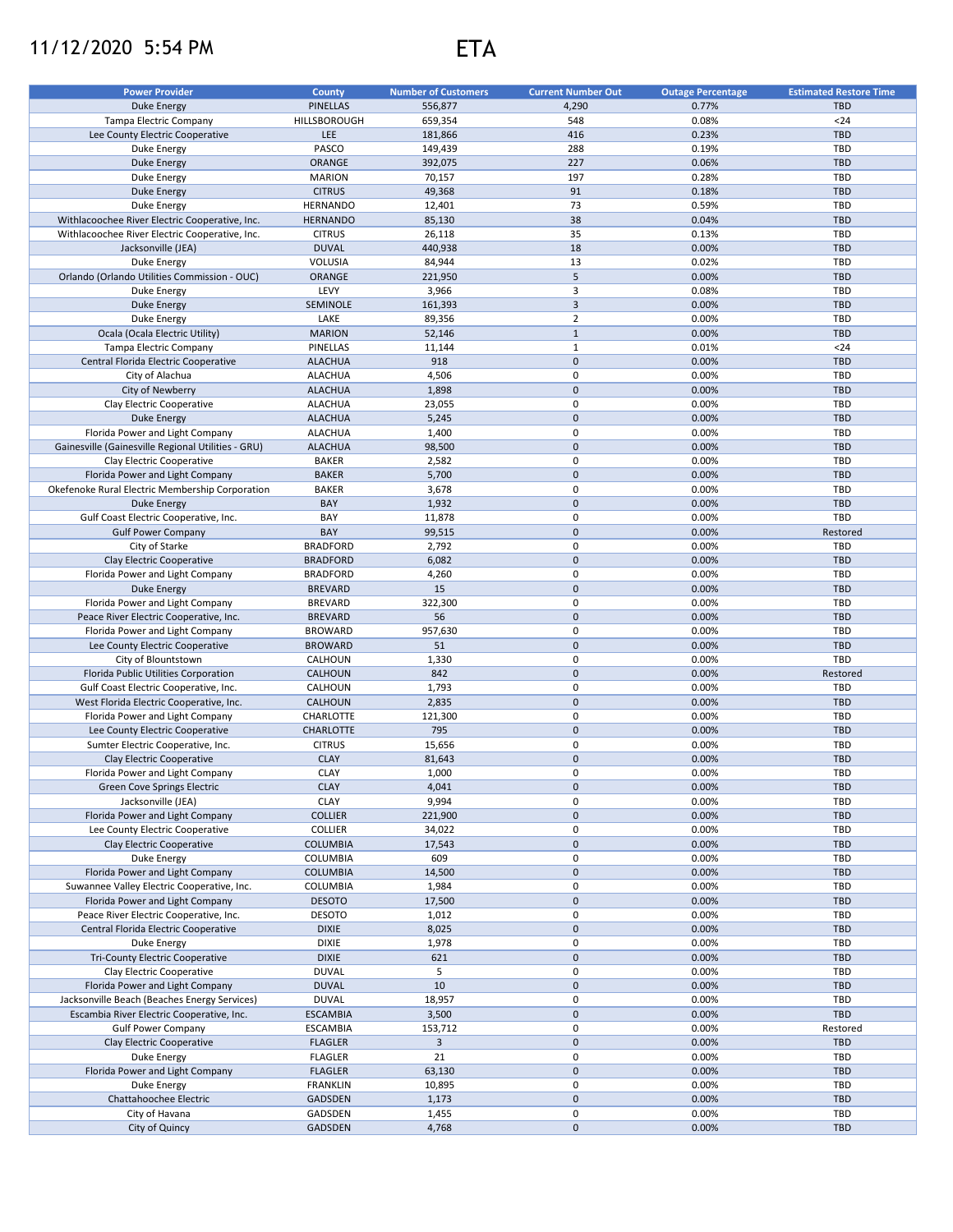## 11/12/2020 5:54 PM ETA



| <b>Power Provider</b>                              | <b>County</b>    | <b>Number of Customers</b> | <b>Current Number Out</b> | <b>Outage Percentage</b> | <b>Estimated Restore Time</b> |
|----------------------------------------------------|------------------|----------------------------|---------------------------|--------------------------|-------------------------------|
| <b>Duke Energy</b>                                 | <b>PINELLAS</b>  | 556,877                    | 4,290                     | 0.77%                    | <b>TBD</b>                    |
| Tampa Electric Company                             | HILLSBOROUGH     | 659,354                    | 548                       | 0.08%                    | $24$                          |
| Lee County Electric Cooperative                    | <b>LEE</b>       | 181,866                    | 416                       | 0.23%                    | <b>TBD</b>                    |
| Duke Energy                                        | PASCO            | 149,439                    | 288                       | 0.19%                    | <b>TBD</b>                    |
| <b>Duke Energy</b>                                 | <b>ORANGE</b>    | 392,075                    | 227                       | 0.06%                    | <b>TBD</b>                    |
| Duke Energy                                        | <b>MARION</b>    | 70,157                     | 197                       | 0.28%                    | <b>TBD</b>                    |
| <b>Duke Energy</b>                                 | <b>CITRUS</b>    | 49,368                     | 91                        | 0.18%                    | <b>TBD</b>                    |
| Duke Energy                                        | <b>HERNANDO</b>  | 12,401                     | 73                        | 0.59%                    | <b>TBD</b>                    |
| Withlacoochee River Electric Cooperative, Inc.     | <b>HERNANDO</b>  | 85,130                     | 38                        | 0.04%                    | <b>TBD</b>                    |
| Withlacoochee River Electric Cooperative, Inc.     | <b>CITRUS</b>    | 26,118                     | 35                        | 0.13%                    | TBD                           |
| Jacksonville (JEA)                                 | <b>DUVAL</b>     | 440,938                    | 18                        | 0.00%                    | <b>TBD</b>                    |
| Duke Energy                                        | <b>VOLUSIA</b>   | 84,944                     | 13                        | 0.02%                    | <b>TBD</b>                    |
| Orlando (Orlando Utilities Commission - OUC)       | ORANGE           | 221,950                    | 5                         | 0.00%                    | <b>TBD</b>                    |
| Duke Energy                                        | LEVY             |                            | 3                         |                          | TBD                           |
|                                                    | <b>SEMINOLE</b>  | 3,966                      | $\mathsf 3$               | 0.08%                    | <b>TBD</b>                    |
| <b>Duke Energy</b>                                 | LAKE             | 161,393                    | $\overline{2}$            | 0.00%                    | <b>TBD</b>                    |
| Duke Energy                                        | <b>MARION</b>    | 89,356                     | $\mathbf 1$               | 0.00%<br>0.00%           | <b>TBD</b>                    |
| Ocala (Ocala Electric Utility)                     |                  | 52,146                     |                           |                          |                               |
| Tampa Electric Company                             | PINELLAS         | 11,144                     | $\mathbf{1}$              | 0.01%                    | $24$                          |
| Central Florida Electric Cooperative               | <b>ALACHUA</b>   | 918                        | $\mathsf 0$               | 0.00%                    | <b>TBD</b>                    |
| City of Alachua                                    | <b>ALACHUA</b>   | 4,506                      | $\mathbf 0$               | 0.00%                    | <b>TBD</b>                    |
| City of Newberry                                   | <b>ALACHUA</b>   | 1,898                      | $\mathsf 0$               | 0.00%                    | <b>TBD</b>                    |
| Clay Electric Cooperative                          | <b>ALACHUA</b>   | 23,055                     | $\mathbf 0$               | 0.00%                    | TBD                           |
| <b>Duke Energy</b>                                 | <b>ALACHUA</b>   | 5,245                      | $\mathbf 0$               | 0.00%                    | <b>TBD</b>                    |
| Florida Power and Light Company                    | <b>ALACHUA</b>   | 1,400                      | $\mathbf 0$               | 0.00%                    | TBD                           |
| Gainesville (Gainesville Regional Utilities - GRU) | <b>ALACHUA</b>   | 98,500                     | $\mathbf 0$               | 0.00%                    | <b>TBD</b>                    |
| Clay Electric Cooperative                          | <b>BAKER</b>     | 2,582                      | $\mathbf 0$               | 0.00%                    | TBD                           |
| Florida Power and Light Company                    | <b>BAKER</b>     | 5,700                      | $\mathbf 0$               | 0.00%                    | <b>TBD</b>                    |
| Okefenoke Rural Electric Membership Corporation    | <b>BAKER</b>     | 3,678                      | $\mathbf 0$               | 0.00%                    | TBD                           |
| <b>Duke Energy</b>                                 | BAY              | 1,932                      | $\mathsf 0$               | 0.00%                    | <b>TBD</b>                    |
| Gulf Coast Electric Cooperative, Inc.              | BAY              | 11,878                     | $\mathbf 0$               | 0.00%                    | TBD                           |
| <b>Gulf Power Company</b>                          | BAY              | 99,515                     | $\mathsf 0$               | 0.00%                    | Restored                      |
| City of Starke                                     | <b>BRADFORD</b>  | 2,792                      | $\mathbf 0$               | 0.00%                    | <b>TBD</b>                    |
| Clay Electric Cooperative                          | <b>BRADFORD</b>  | 6,082                      | $\mathsf 0$               | 0.00%                    | <b>TBD</b>                    |
| Florida Power and Light Company                    | <b>BRADFORD</b>  | 4,260                      | $\mathbf 0$               | 0.00%                    | TBD                           |
| <b>Duke Energy</b>                                 | <b>BREVARD</b>   | 15                         | $\mathsf 0$               | 0.00%                    | <b>TBD</b>                    |
| Florida Power and Light Company                    | <b>BREVARD</b>   | 322,300                    | $\mathsf 0$               | 0.00%                    | TBD                           |
| Peace River Electric Cooperative, Inc.             | <b>BREVARD</b>   | 56                         | $\mathsf 0$               | 0.00%                    | <b>TBD</b>                    |
| Florida Power and Light Company                    | <b>BROWARD</b>   | 957,630                    | $\mathbf 0$               | 0.00%                    | TBD                           |
| Lee County Electric Cooperative                    | <b>BROWARD</b>   | 51                         | $\mathsf 0$               | 0.00%                    | <b>TBD</b>                    |
| City of Blountstown                                | CALHOUN          | 1,330                      | $\mathsf 0$               | 0.00%                    | TBD                           |
| Florida Public Utilities Corporation               | CALHOUN          | 842                        | $\mathsf 0$               | 0.00%                    | Restored                      |
| Gulf Coast Electric Cooperative, Inc.              | CALHOUN          | 1,793                      | $\mathsf 0$               | 0.00%                    | TBD                           |
| West Florida Electric Cooperative, Inc.            | CALHOUN          | 2,835                      | $\mathsf 0$               | 0.00%                    | <b>TBD</b>                    |
| Florida Power and Light Company                    | CHARLOTTE        | 121,300                    | $\mathbf 0$               | 0.00%                    | TBD                           |
| Lee County Electric Cooperative                    | <b>CHARLOTTE</b> | 795                        | $\mathsf 0$               | 0.00%                    | <b>TBD</b>                    |
| Sumter Electric Cooperative, Inc.                  | <b>CITRUS</b>    | 15,656                     | $\mathbf 0$               | 0.00%                    | TBD                           |
| Clay Electric Cooperative                          | <b>CLAY</b>      | 81,643                     | $\pmb{0}$                 | 0.00%                    | <b>TBD</b>                    |
| Florida Power and Light Company                    | <b>CLAY</b>      | 1,000                      | $\mathbf 0$               | 0.00%                    | TBD                           |
| <b>Green Cove Springs Electric</b>                 | <b>CLAY</b>      | 4,041                      | $\mathsf 0$               | 0.00%                    | <b>TBD</b>                    |
| Jacksonville (JEA)                                 | CLAY             | 9,994                      | 0                         | 0.00%                    | TBD                           |
| Florida Power and Light Company                    | <b>COLLIER</b>   | 221,900                    | $\mathsf 0$               | 0.00%                    | <b>TBD</b>                    |
| Lee County Electric Cooperative                    | <b>COLLIER</b>   | 34,022                     | $\mathsf 0$               | 0.00%                    | TBD                           |
| Clay Electric Cooperative                          | <b>COLUMBIA</b>  | 17,543                     | $\mathsf{O}\xspace$       | 0.00%                    | <b>TBD</b>                    |
| Duke Energy                                        | COLUMBIA         | 609                        | $\mathsf 0$               | 0.00%                    | TBD                           |
| Florida Power and Light Company                    | <b>COLUMBIA</b>  | 14,500                     | $\mathsf 0$               | 0.00%                    | <b>TBD</b>                    |
| Suwannee Valley Electric Cooperative, Inc.         | COLUMBIA         | 1,984                      | $\mathsf 0$               | 0.00%                    | TBD                           |
| Florida Power and Light Company                    | <b>DESOTO</b>    | 17,500                     | $\mathbf 0$               | 0.00%                    | <b>TBD</b>                    |
| Peace River Electric Cooperative, Inc.             | <b>DESOTO</b>    | 1,012                      | $\mathsf 0$               | 0.00%                    | TBD                           |
| Central Florida Electric Cooperative               | <b>DIXIE</b>     | 8,025                      | $\mathbf 0$               | 0.00%                    | <b>TBD</b>                    |
| Duke Energy                                        | <b>DIXIE</b>     | 1,978                      | $\mathsf 0$               | 0.00%                    | TBD                           |
| <b>Tri-County Electric Cooperative</b>             | <b>DIXIE</b>     | 621                        | $\mathsf 0$               | 0.00%                    | <b>TBD</b>                    |
| Clay Electric Cooperative                          | <b>DUVAL</b>     | 5                          | $\mathsf 0$               | 0.00%                    | TBD                           |
| Florida Power and Light Company                    | <b>DUVAL</b>     | 10                         | $\mathsf 0$               | 0.00%                    | <b>TBD</b>                    |
| Jacksonville Beach (Beaches Energy Services)       | <b>DUVAL</b>     | 18,957                     | $\mathsf 0$               | 0.00%                    | TBD                           |
| Escambia River Electric Cooperative, Inc.          | <b>ESCAMBIA</b>  | 3,500                      | $\mathbf 0$               | 0.00%                    | <b>TBD</b>                    |
| <b>Gulf Power Company</b>                          | <b>ESCAMBIA</b>  | 153,712                    | $\mathsf 0$               | 0.00%                    | Restored                      |
| Clay Electric Cooperative                          | <b>FLAGLER</b>   | 3                          | $\mathbf 0$               | 0.00%                    | <b>TBD</b>                    |
| Duke Energy                                        | <b>FLAGLER</b>   | 21                         | $\mathbf 0$               | 0.00%                    | TBD                           |
| Florida Power and Light Company                    | <b>FLAGLER</b>   | 63,130                     | $\mathbf 0$               | 0.00%                    | <b>TBD</b>                    |
| Duke Energy                                        | <b>FRANKLIN</b>  | 10,895                     | $\mathbf 0$               | 0.00%                    | TBD                           |
| Chattahoochee Electric                             | GADSDEN          | 1,173                      | $\mathbf 0$               | 0.00%                    | <b>TBD</b>                    |
| City of Havana                                     | GADSDEN          | 1,455                      | 0                         | 0.00%                    | TBD                           |
| City of Quincy                                     | GADSDEN          | 4,768                      | $\pmb{0}$                 | 0.00%                    | <b>TBD</b>                    |
|                                                    |                  |                            |                           |                          |                               |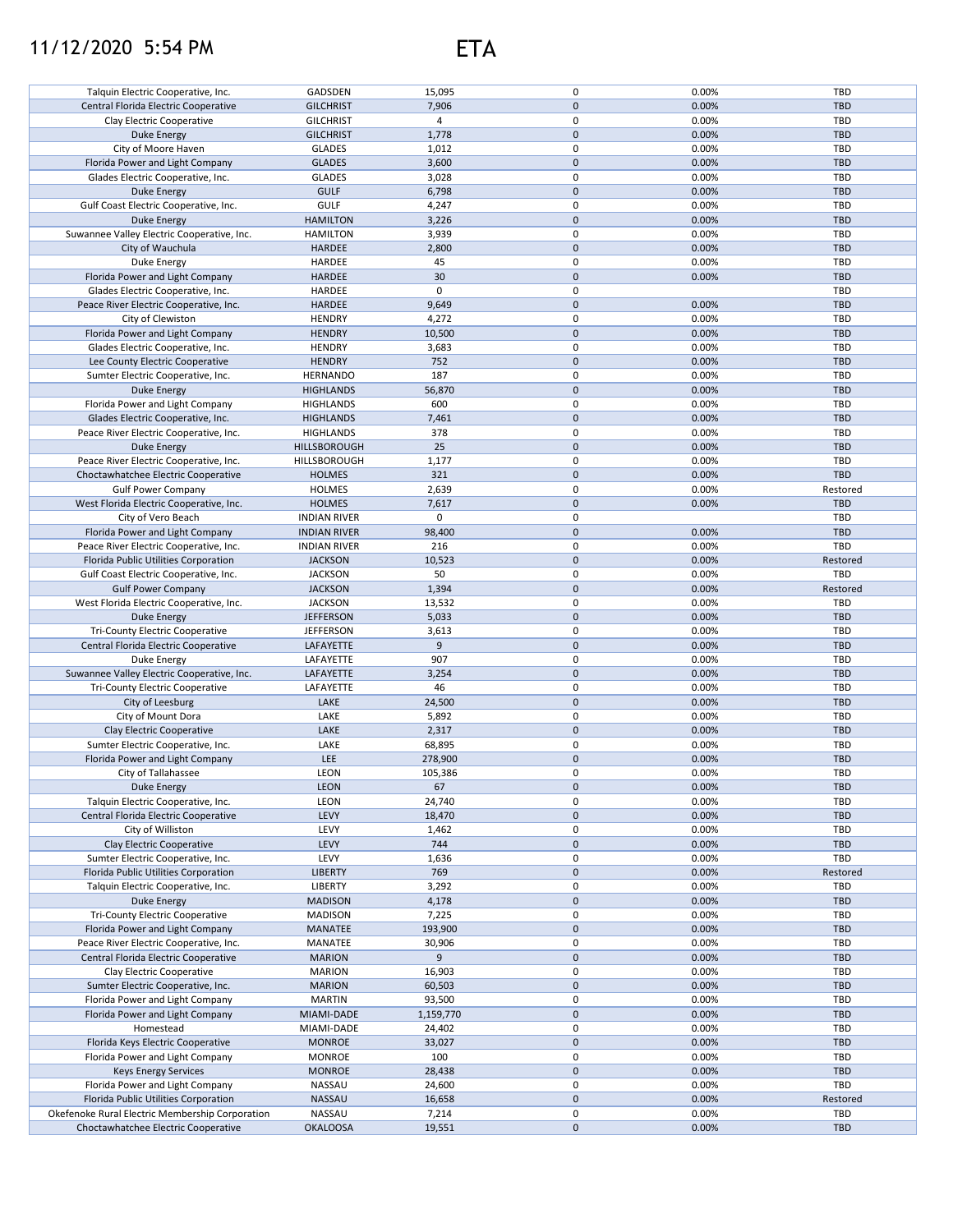## 11/12/2020 5:54 PM ETA



| Talquin Electric Cooperative, Inc.                                                     | GADSDEN                   | 15,095          | 0                   | 0.00%          | TBD        |
|----------------------------------------------------------------------------------------|---------------------------|-----------------|---------------------|----------------|------------|
| Central Florida Electric Cooperative                                                   | <b>GILCHRIST</b>          | 7,906           | 0                   | 0.00%          | <b>TBD</b> |
|                                                                                        |                           |                 |                     |                |            |
| Clay Electric Cooperative                                                              | <b>GILCHRIST</b>          | $\overline{4}$  | 0                   | 0.00%          | TBD        |
| <b>Duke Energy</b>                                                                     | <b>GILCHRIST</b>          | 1,778           | $\mathbf 0$         | 0.00%          | <b>TBD</b> |
|                                                                                        | <b>GLADES</b>             |                 | 0                   | 0.00%          | TBD        |
| City of Moore Haven                                                                    |                           | 1,012           |                     |                |            |
| Florida Power and Light Company                                                        | <b>GLADES</b>             | 3,600           | $\mathbf 0$         | 0.00%          | <b>TBD</b> |
| Glades Electric Cooperative, Inc.                                                      | <b>GLADES</b>             | 3,028           | 0                   | 0.00%          | TBD        |
|                                                                                        |                           |                 |                     |                |            |
| Duke Energy                                                                            | <b>GULF</b>               | 6,798           | 0                   | 0.00%          | <b>TBD</b> |
| Gulf Coast Electric Cooperative, Inc.                                                  | <b>GULF</b>               | 4,247           | 0                   | 0.00%          | TBD        |
| Duke Energy                                                                            | <b>HAMILTON</b>           | 3,226           | 0                   | 0.00%          | <b>TBD</b> |
|                                                                                        |                           |                 |                     |                |            |
| Suwannee Valley Electric Cooperative, Inc.                                             | <b>HAMILTON</b>           | 3,939           | 0                   | 0.00%          | <b>TBD</b> |
| City of Wauchula                                                                       | HARDEE                    | 2,800           | 0                   | 0.00%          | <b>TBD</b> |
| Duke Energy                                                                            | HARDEE                    | 45              | 0                   | 0.00%          | TBD        |
|                                                                                        |                           |                 |                     |                |            |
| Florida Power and Light Company                                                        | HARDEE                    | 30              | 0                   | 0.00%          | <b>TBD</b> |
| Glades Electric Cooperative, Inc.                                                      | HARDEE                    | 0               | 0                   |                | TBD        |
|                                                                                        | <b>HARDEE</b>             | 9,649           | $\mathbf 0$         | 0.00%          | <b>TBD</b> |
| Peace River Electric Cooperative, Inc.                                                 |                           |                 |                     |                |            |
| City of Clewiston                                                                      | <b>HENDRY</b>             | 4,272           | 0                   | 0.00%          | TBD        |
| Florida Power and Light Company                                                        | <b>HENDRY</b>             | 10,500          | $\mathbf 0$         | 0.00%          | <b>TBD</b> |
|                                                                                        |                           |                 |                     |                |            |
| Glades Electric Cooperative, Inc.                                                      | <b>HENDRY</b>             | 3,683           | 0                   | 0.00%          | TBD        |
| Lee County Electric Cooperative                                                        | <b>HENDRY</b>             | 752             | $\mathsf{O}\xspace$ | 0.00%          | <b>TBD</b> |
| Sumter Electric Cooperative, Inc.                                                      | <b>HERNANDO</b>           | 187             | 0                   | 0.00%          | TBD        |
|                                                                                        |                           |                 |                     |                |            |
| <b>Duke Energy</b>                                                                     | <b>HIGHLANDS</b>          | 56,870          | $\mathsf{O}\xspace$ | 0.00%          | <b>TBD</b> |
| Florida Power and Light Company                                                        | <b>HIGHLANDS</b>          | 600             | 0                   | 0.00%          | TBD        |
| Glades Electric Cooperative, Inc.                                                      |                           |                 |                     |                |            |
|                                                                                        | <b>HIGHLANDS</b>          | 7,461           | $\mathbf 0$         | 0.00%          | <b>TBD</b> |
| Peace River Electric Cooperative, Inc.                                                 | <b>HIGHLANDS</b>          | 378             | 0                   | 0.00%          | TBD        |
| Duke Energy                                                                            | HILLSBOROUGH              | 25              | $\mathbf 0$         | 0.00%          | <b>TBD</b> |
|                                                                                        |                           |                 | 0                   |                |            |
| Peace River Electric Cooperative, Inc.                                                 | HILLSBOROUGH              | 1,177           |                     | 0.00%          | TBD        |
| Choctawhatchee Electric Cooperative                                                    | <b>HOLMES</b>             | 321             | $\mathbf 0$         | 0.00%          | <b>TBD</b> |
| <b>Gulf Power Company</b>                                                              | <b>HOLMES</b>             | 2,639           | 0                   | 0.00%          | Restored   |
|                                                                                        |                           |                 |                     |                |            |
| West Florida Electric Cooperative, Inc.                                                | <b>HOLMES</b>             | 7,617           | $\mathbf{0}$        | 0.00%          | <b>TBD</b> |
| City of Vero Beach                                                                     | <b>INDIAN RIVER</b>       | 0               | 0                   |                | TBD        |
| Florida Power and Light Company                                                        | <b>INDIAN RIVER</b>       | 98,400          | $\mathbf 0$         | 0.00%          | <b>TBD</b> |
|                                                                                        |                           |                 |                     |                |            |
| Peace River Electric Cooperative, Inc.                                                 | <b>INDIAN RIVER</b>       | 216             | 0                   | 0.00%          | TBD        |
| Florida Public Utilities Corporation                                                   | <b>JACKSON</b>            | 10,523          | $\mathbf 0$         | 0.00%          | Restored   |
|                                                                                        |                           |                 | 0                   |                | TBD        |
| Gulf Coast Electric Cooperative, Inc.                                                  | <b>JACKSON</b>            | 50              |                     | 0.00%          |            |
| <b>Gulf Power Company</b>                                                              | <b>JACKSON</b>            | 1,394           | 0                   | 0.00%          | Restored   |
| West Florida Electric Cooperative, Inc.                                                | <b>JACKSON</b>            | 13,532          | 0                   | 0.00%          | TBD        |
|                                                                                        |                           |                 |                     |                |            |
| Duke Energy                                                                            | <b>JEFFERSON</b>          | 5,033           | 0                   | 0.00%          | <b>TBD</b> |
| <b>Tri-County Electric Cooperative</b>                                                 | <b>JEFFERSON</b>          | 3,613           | 0                   | 0.00%          | TBD        |
| Central Florida Electric Cooperative                                                   | LAFAYETTE                 | 9               | $\mathbf 0$         | 0.00%          | TBD        |
|                                                                                        |                           |                 |                     |                |            |
| Duke Energy                                                                            | LAFAYETTE                 | 907             | 0                   | 0.00%          | TBD        |
| Suwannee Valley Electric Cooperative, Inc.                                             | LAFAYETTE                 | 3,254           | $\mathbf 0$         | 0.00%          | <b>TBD</b> |
| Tri-County Electric Cooperative                                                        | LAFAYETTE                 | 46              | 0                   | 0.00%          | TBD        |
|                                                                                        |                           |                 |                     |                |            |
| City of Leesburg                                                                       | LAKE                      | 24,500          | $\mathsf{O}\xspace$ | 0.00%          | TBD        |
| City of Mount Dora                                                                     | LAKE                      | 5,892           | 0                   | 0.00%          | TBD        |
|                                                                                        | LAKE                      |                 | $\mathsf{O}\xspace$ |                | <b>TBD</b> |
| Clay Electric Cooperative                                                              |                           | 2,317           |                     | 0.00%          |            |
| Sumter Electric Cooperative, Inc.                                                      | LAKE                      | 68,895          | 0                   | 0.00%          | TBD        |
| Florida Power and Light Company                                                        | <b>LEE</b>                | 278,900         | $\mathbf 0$         | 0.00%          | <b>TBD</b> |
|                                                                                        |                           |                 |                     |                |            |
| City of Tallahassee                                                                    | LEON                      | 105,386         | 0                   | 0.00%          | TBD        |
| <b>Duke Energy</b>                                                                     | <b>LEON</b>               | 67              | $\mathbf 0$         | 0.00%          | <b>TBD</b> |
| Talquin Electric Cooperative, Inc.                                                     | <b>LEON</b>               | 24,740          | 0                   | 0.00%          | TBD        |
|                                                                                        |                           |                 |                     |                |            |
| Central Florida Electric Cooperative                                                   | LEVY                      | 18,470          | 0                   | 0.00%          | TBD        |
| City of Williston                                                                      | LEVY                      | 1,462           | 0                   | 0.00%          | TBD        |
| Clay Electric Cooperative                                                              | LEVY                      |                 | 0                   | 0.00%          | TBD        |
|                                                                                        |                           | 744             |                     |                |            |
| Sumter Electric Cooperative, Inc.                                                      | LEVY                      | 1,636           | 0                   | 0.00%          | TBD        |
| Florida Public Utilities Corporation                                                   | <b>LIBERTY</b>            | 769             | 0                   | 0.00%          | Restored   |
|                                                                                        |                           |                 |                     |                |            |
| Talquin Electric Cooperative, Inc.                                                     | LIBERTY                   | 3,292           | 0                   | 0.00%          | <b>TBD</b> |
| Duke Energy                                                                            | <b>MADISON</b>            | 4,178           | 0                   | 0.00%          | TBD        |
| Tri-County Electric Cooperative                                                        | <b>MADISON</b>            | 7,225           | 0                   | 0.00%          | <b>TBD</b> |
|                                                                                        |                           |                 |                     |                |            |
| Florida Power and Light Company                                                        | <b>MANATEE</b>            | 193,900         | 0                   | 0.00%          | <b>TBD</b> |
| Peace River Electric Cooperative, Inc.                                                 | MANATEE                   | 30,906          | 0                   | 0.00%          | TBD        |
| Central Florida Electric Cooperative                                                   | <b>MARION</b>             | 9               | 0                   | 0.00%          | <b>TBD</b> |
|                                                                                        |                           |                 |                     |                |            |
| Clay Electric Cooperative                                                              | <b>MARION</b>             | 16,903          | 0                   | 0.00%          | TBD        |
| Sumter Electric Cooperative, Inc.                                                      | <b>MARION</b>             | 60,503          | 0                   | 0.00%          | <b>TBD</b> |
|                                                                                        |                           |                 | 0                   |                |            |
| Florida Power and Light Company                                                        | <b>MARTIN</b>             | 93,500          |                     | 0.00%          | TBD        |
| Florida Power and Light Company                                                        | MIAMI-DADE                | 1,159,770       | $\mathbf 0$         | 0.00%          | <b>TBD</b> |
| Homestead                                                                              | MIAMI-DADE                | 24,402          | 0                   | 0.00%          | TBD        |
|                                                                                        |                           |                 |                     |                |            |
| Florida Keys Electric Cooperative                                                      | <b>MONROE</b>             | 33,027          | $\pmb{0}$           | 0.00%          | <b>TBD</b> |
| Florida Power and Light Company                                                        | <b>MONROE</b>             | 100             | 0                   | 0.00%          | TBD        |
| <b>Keys Energy Services</b>                                                            | <b>MONROE</b>             | 28,438          | 0                   | 0.00%          | TBD        |
|                                                                                        |                           |                 |                     |                |            |
| Florida Power and Light Company                                                        |                           |                 |                     |                |            |
|                                                                                        | <b>NASSAU</b>             | 24,600          | 0                   | 0.00%          | TBD        |
| Florida Public Utilities Corporation                                                   | NASSAU                    | 16,658          | $\pmb{0}$           | 0.00%          | Restored   |
|                                                                                        |                           |                 |                     |                |            |
| Okefenoke Rural Electric Membership Corporation<br>Choctawhatchee Electric Cooperative | NASSAU<br><b>OKALOOSA</b> | 7,214<br>19,551 | 0<br>$\pmb{0}$      | 0.00%<br>0.00% | TBD<br>TBD |